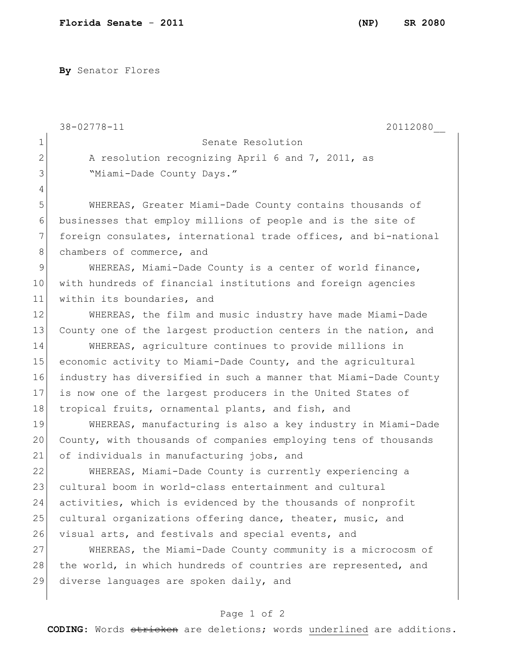**By** Senator Flores

|               | 38-02778-11<br>20112080                                          |
|---------------|------------------------------------------------------------------|
| $\mathbf 1$   | Senate Resolution                                                |
| $\mathbf{2}$  | A resolution recognizing April 6 and 7, 2011, as                 |
| 3             | "Miami-Dade County Days."                                        |
| 4             |                                                                  |
| 5             | WHEREAS, Greater Miami-Dade County contains thousands of         |
| 6             | businesses that employ millions of people and is the site of     |
| 7             | foreign consulates, international trade offices, and bi-national |
| 8             | chambers of commerce, and                                        |
| $\mathcal{G}$ | WHEREAS, Miami-Dade County is a center of world finance,         |
| 10            | with hundreds of financial institutions and foreign agencies     |
| 11            | within its boundaries, and                                       |
| 12            | WHEREAS, the film and music industry have made Miami-Dade        |
| 13            | County one of the largest production centers in the nation, and  |
| 14            | WHEREAS, agriculture continues to provide millions in            |
| 15            | economic activity to Miami-Dade County, and the agricultural     |
| 16            | industry has diversified in such a manner that Miami-Dade County |
| 17            | is now one of the largest producers in the United States of      |
| 18            | tropical fruits, ornamental plants, and fish, and                |
| 19            | WHEREAS, manufacturing is also a key industry in Miami-Dade      |
| 20            | County, with thousands of companies employing tens of thousands  |
| 21            | of individuals in manufacturing jobs, and                        |
| 22            | WHEREAS, Miami-Dade County is currently experiencing a           |
| 23            | cultural boom in world-class entertainment and cultural          |
| 24            | activities, which is evidenced by the thousands of nonprofit     |
| 25            | cultural organizations offering dance, theater, music, and       |
| 26            | visual arts, and festivals and special events, and               |
| 27            | WHEREAS, the Miami-Dade County community is a microcosm of       |
| 28            | the world, in which hundreds of countries are represented, and   |
| 29            | diverse languages are spoken daily, and                          |
|               |                                                                  |

## Page 1 of 2

**CODING**: Words stricken are deletions; words underlined are additions.